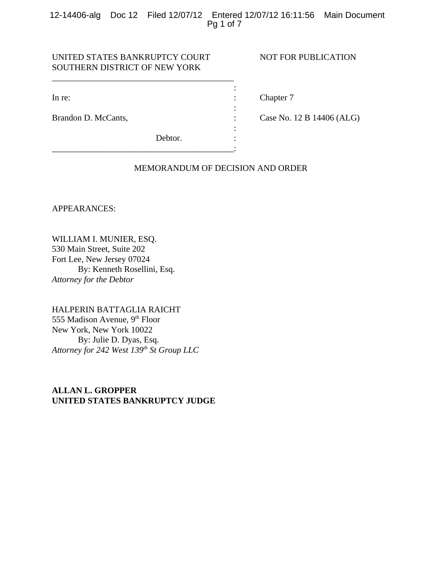12-14406-alg Doc 12 Filed 12/07/12 Entered 12/07/12 16:11:56 Main Document Pg 1 of 7

:

:

:

## UNITED STATES BANKRUPTCY COURT NOT FOR PUBLICATION SOUTHERN DISTRICT OF NEW YORK

\_\_\_\_\_\_\_\_\_\_\_\_\_\_\_\_\_\_\_\_\_\_\_\_\_\_\_\_\_\_\_\_\_\_\_\_\_\_\_\_\_\_

\_\_\_\_\_\_\_\_\_\_\_\_\_\_\_\_\_\_\_\_\_\_\_\_\_\_\_\_\_\_\_\_\_\_\_\_\_\_\_\_\_\_:

In re: Chapter 7

Brandon D. McCants,  $\qquad \qquad$  : Case No. 12 B 14406 (ALG)

Debtor. :

## MEMORANDUM OF DECISION AND ORDER

APPEARANCES:

WILLIAM I. MUNIER, ESQ. 530 Main Street, Suite 202 Fort Lee, New Jersey 07024 By: Kenneth Rosellini, Esq. *Attorney for the Debtor*

HALPERIN BATTAGLIA RAICHT 555 Madison Avenue, 9th Floor New York, New York 10022 By: Julie D. Dyas, Esq. *Attorney for 242 West 139th St Group LLC*

# **ALLAN L. GROPPER UNITED STATES BANKRUPTCY JUDGE**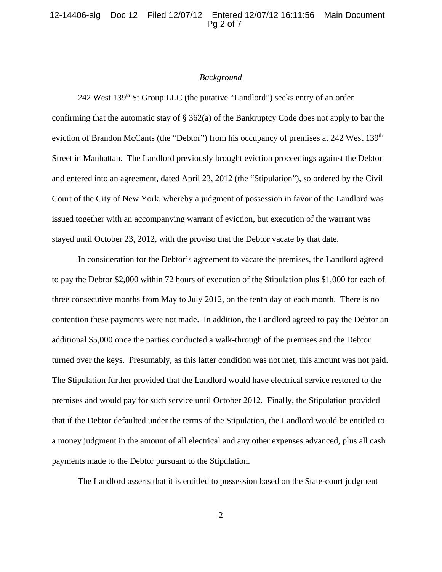## 12-14406-alg Doc 12 Filed 12/07/12 Entered 12/07/12 16:11:56 Main Document Pg 2 of 7

#### *Background*

242 West 139<sup>th</sup> St Group LLC (the putative "Landlord") seeks entry of an order confirming that the automatic stay of  $\S$  362(a) of the Bankruptcy Code does not apply to bar the eviction of Brandon McCants (the "Debtor") from his occupancy of premises at  $242$  West  $139<sup>th</sup>$ Street in Manhattan. The Landlord previously brought eviction proceedings against the Debtor and entered into an agreement, dated April 23, 2012 (the "Stipulation"), so ordered by the Civil Court of the City of New York, whereby a judgment of possession in favor of the Landlord was issued together with an accompanying warrant of eviction, but execution of the warrant was stayed until October 23, 2012, with the proviso that the Debtor vacate by that date.

In consideration for the Debtor's agreement to vacate the premises, the Landlord agreed to pay the Debtor \$2,000 within 72 hours of execution of the Stipulation plus \$1,000 for each of three consecutive months from May to July 2012, on the tenth day of each month. There is no contention these payments were not made. In addition, the Landlord agreed to pay the Debtor an additional \$5,000 once the parties conducted a walk-through of the premises and the Debtor turned over the keys. Presumably, as this latter condition was not met, this amount was not paid. The Stipulation further provided that the Landlord would have electrical service restored to the premises and would pay for such service until October 2012. Finally, the Stipulation provided that if the Debtor defaulted under the terms of the Stipulation, the Landlord would be entitled to a money judgment in the amount of all electrical and any other expenses advanced, plus all cash payments made to the Debtor pursuant to the Stipulation.

The Landlord asserts that it is entitled to possession based on the State-court judgment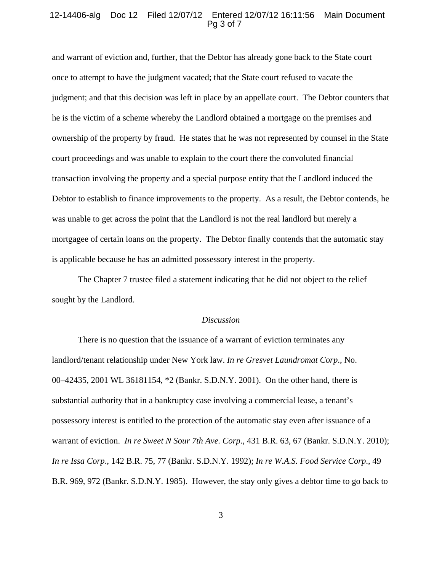#### 12-14406-alg Doc 12 Filed 12/07/12 Entered 12/07/12 16:11:56 Main Document Pg 3 of 7

and warrant of eviction and, further, that the Debtor has already gone back to the State court once to attempt to have the judgment vacated; that the State court refused to vacate the judgment; and that this decision was left in place by an appellate court. The Debtor counters that he is the victim of a scheme whereby the Landlord obtained a mortgage on the premises and ownership of the property by fraud. He states that he was not represented by counsel in the State court proceedings and was unable to explain to the court there the convoluted financial transaction involving the property and a special purpose entity that the Landlord induced the Debtor to establish to finance improvements to the property. As a result, the Debtor contends, he was unable to get across the point that the Landlord is not the real landlord but merely a mortgagee of certain loans on the property. The Debtor finally contends that the automatic stay is applicable because he has an admitted possessory interest in the property.

The Chapter 7 trustee filed a statement indicating that he did not object to the relief sought by the Landlord.

#### *Discussion*

There is no question that the issuance of a warrant of eviction terminates any landlord/tenant relationship under New York law. *In re Gresvet Laundromat Corp*., No. 00–42435, 2001 WL 36181154, \*2 (Bankr. S.D.N.Y. 2001). On the other hand, there is substantial authority that in a bankruptcy case involving a commercial lease, a tenant's possessory interest is entitled to the protection of the automatic stay even after issuance of a warrant of eviction. *In re Sweet N Sour 7th Ave. Corp*., 431 B.R. 63, 67 (Bankr. S.D.N.Y. 2010); *In re Issa Corp*., 142 B.R. 75, 77 (Bankr. S.D.N.Y. 1992); *In re W.A.S. Food Service Corp*., 49 B.R. 969, 972 (Bankr. S.D.N.Y. 1985). However, the stay only gives a debtor time to go back to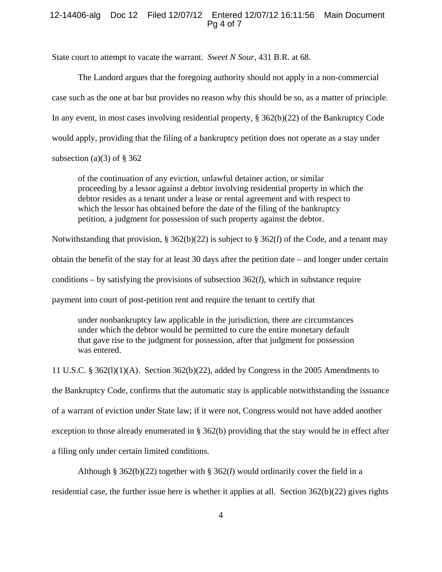## 12-14406-alg Doc 12 Filed 12/07/12 Entered 12/07/12 16:11:56 Main Document Pg 4 of 7

State court to attempt to vacate the warrant. *Sweet N Sour*, 431 B.R. at 68.

The Landord argues that the foregoing authority should not apply in a non-commercial case such as the one at bar but provides no reason why this should be so, as a matter of principle. In any event, in most cases involving residential property, § 362(b)(22) of the Bankruptcy Code would apply, providing that the filing of a bankruptcy petition does not operate as a stay under subsection (a)(3) of  $\S$  362

of the continuation of any eviction, unlawful detainer action, or similar proceeding by a lessor against a debtor involving residential property in which the debtor resides as a tenant under a lease or rental agreement and with respect to which the lessor has obtained before the date of the filing of the bankruptcy petition, a judgment for possession of such property against the debtor.

Notwithstanding that provision, § 362(b)(22) is subject to § 362(*l*) of the Code, and a tenant may obtain the benefit of the stay for at least 30 days after the petition date – and longer under certain conditions – by satisfying the provisions of subsection  $362(l)$ , which in substance require payment into court of post-petition rent and require the tenant to certify that

under nonbankruptcy law applicable in the jurisdiction, there are circumstances under which the debtor would be permitted to cure the entire monetary default that gave rise to the judgment for possession, after that judgment for possession was entered.

11 U.S.C. § 362(l)(1)(A). Section 362(b)(22), added by Congress in the 2005 Amendments to the Bankruptcy Code, confirms that the automatic stay is applicable notwithstanding the issuance of a warrant of eviction under State law; if it were not, Congress would not have added another exception to those already enumerated in § 362(b) providing that the stay would be in effect after a filing only under certain limited conditions.

Although § 362(b)(22) together with § 362(*l*) would ordinarily cover the field in a residential case, the further issue here is whether it applies at all. Section 362(b)(22) gives rights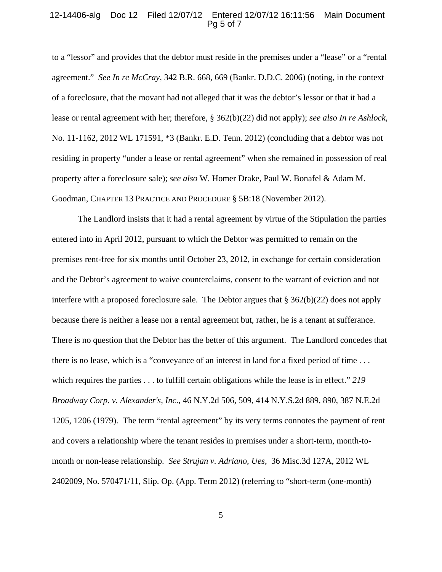#### 12-14406-alg Doc 12 Filed 12/07/12 Entered 12/07/12 16:11:56 Main Document Pg 5 of 7

to a "lessor" and provides that the debtor must reside in the premises under a "lease" or a "rental agreement." *See In re McCray*, 342 B.R. 668, 669 (Bankr. D.D.C. 2006) (noting, in the context of a foreclosure, that the movant had not alleged that it was the debtor's lessor or that it had a lease or rental agreement with her; therefore, § 362(b)(22) did not apply); *see also In re Ashlock*, No. 11-1162, 2012 WL 171591, \*3 (Bankr. E.D. Tenn. 2012) (concluding that a debtor was not residing in property "under a lease or rental agreement" when she remained in possession of real property after a foreclosure sale); *see also* W. Homer Drake, Paul W. Bonafel & Adam M. Goodman, CHAPTER 13 PRACTICE AND PROCEDURE § 5B:18 (November 2012).

The Landlord insists that it had a rental agreement by virtue of the Stipulation the parties entered into in April 2012, pursuant to which the Debtor was permitted to remain on the premises rent-free for six months until October 23, 2012, in exchange for certain consideration and the Debtor's agreement to waive counterclaims, consent to the warrant of eviction and not interfere with a proposed foreclosure sale. The Debtor argues that  $\S 362(b)(22)$  does not apply because there is neither a lease nor a rental agreement but, rather, he is a tenant at sufferance. There is no question that the Debtor has the better of this argument. The Landlord concedes that there is no lease, which is a "conveyance of an interest in land for a fixed period of time . . . which requires the parties . . . to fulfill certain obligations while the lease is in effect." *219 Broadway Corp. v. Alexander's, Inc*., 46 N.Y.2d 506, 509, 414 N.Y.S.2d 889, 890, 387 N.E.2d 1205, 1206 (1979). The term "rental agreement" by its very terms connotes the payment of rent and covers a relationship where the tenant resides in premises under a short-term, month-tomonth or non-lease relationship. *See Strujan v. Adriano, Ues*, 36 Misc.3d 127A, 2012 WL 2402009, No. 570471/11, Slip. Op. (App. Term 2012) (referring to "short-term (one-month)

5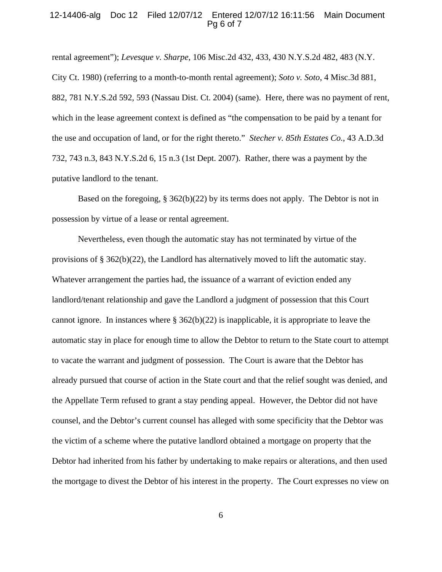#### 12-14406-alg Doc 12 Filed 12/07/12 Entered 12/07/12 16:11:56 Main Document Pg 6 of 7

rental agreement"); *Levesque v. Sharpe*, 106 Misc.2d 432, 433, 430 N.Y.S.2d 482, 483 (N.Y. City Ct. 1980) (referring to a month-to-month rental agreement); *Soto v. Soto*, 4 Misc.3d 881, 882, 781 N.Y.S.2d 592, 593 (Nassau Dist. Ct. 2004) (same). Here, there was no payment of rent, which in the lease agreement context is defined as "the compensation to be paid by a tenant for the use and occupation of land, or for the right thereto." *Stecher v. 85th Estates Co.*, 43 A.D.3d 732, 743 n.3, 843 N.Y.S.2d 6, 15 n.3 (1st Dept. 2007). Rather, there was a payment by the putative landlord to the tenant.

Based on the foregoing, § 362(b)(22) by its terms does not apply. The Debtor is not in possession by virtue of a lease or rental agreement.

Nevertheless, even though the automatic stay has not terminated by virtue of the provisions of  $\S 362(b)(22)$ , the Landlord has alternatively moved to lift the automatic stay. Whatever arrangement the parties had, the issuance of a warrant of eviction ended any landlord/tenant relationship and gave the Landlord a judgment of possession that this Court cannot ignore. In instances where  $\S 362(b)(22)$  is inapplicable, it is appropriate to leave the automatic stay in place for enough time to allow the Debtor to return to the State court to attempt to vacate the warrant and judgment of possession. The Court is aware that the Debtor has already pursued that course of action in the State court and that the relief sought was denied, and the Appellate Term refused to grant a stay pending appeal. However, the Debtor did not have counsel, and the Debtor's current counsel has alleged with some specificity that the Debtor was the victim of a scheme where the putative landlord obtained a mortgage on property that the Debtor had inherited from his father by undertaking to make repairs or alterations, and then used the mortgage to divest the Debtor of his interest in the property. The Court expresses no view on